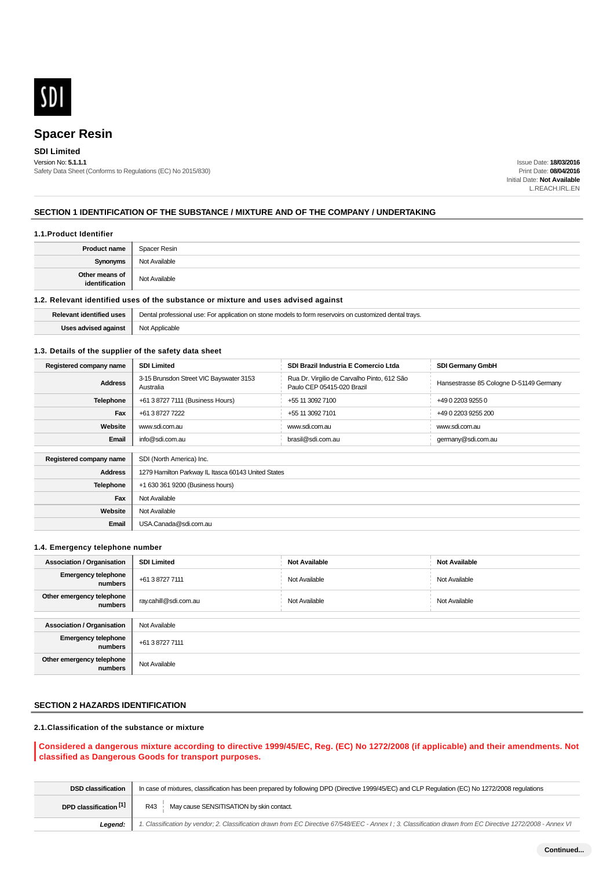

## **SDI Limited**

Version No: **5.1.1.1** Safety Data Sheet (Conforms to Regulations (EC) No 2015/830)

Issue Date: **18/03/2016** Print Date: **08/04/2016** Initial Date: **Not Available** L.REACH.IRL.EN

### **SECTION 1 IDENTIFICATION OF THE SUBSTANCE / MIXTURE AND OF THE COMPANY / UNDERTAKING**

#### **1.1.Product Identifier**

| <b>Product name</b>              | Spacer Resin  |
|----------------------------------|---------------|
| Synonyms                         | Not Available |
| Other means of<br>identification | Not Available |

#### **1.2. Relevant identified uses of the substance or mixture and uses advised against**

| Relevant identified uses | Dental professional use: For application on stone models to form reservoirs on customized dental trays. |
|--------------------------|---------------------------------------------------------------------------------------------------------|
| Uses advised against     | Not Applicable                                                                                          |

#### **1.3. Details of the supplier of the safety data sheet**

| Registered company name | <b>SDI Limited</b>                                         | SDI Brazil Industria E Comercio Ltda                                      | <b>SDI Germany GmbH</b>                 |
|-------------------------|------------------------------------------------------------|---------------------------------------------------------------------------|-----------------------------------------|
| <b>Address</b>          | 3-15 Brunsdon Street VIC Bayswater 3153<br>Australia       | Rua Dr. Virgilio de Carvalho Pinto, 612 São<br>Paulo CEP 05415-020 Brazil | Hansestrasse 85 Cologne D-51149 Germany |
| <b>Telephone</b>        | +61 3 8727 7111 (Business Hours)                           | +55 11 3092 7100                                                          | +49 0 2203 9255 0                       |
| Fax                     | +61 3 8727 7222<br>+55 11 3092 7101<br>+49 0 2203 9255 200 |                                                                           |                                         |
| Website                 | www.sdi.com.au                                             | www.sdi.com.au                                                            | www.sdi.com.au                          |
| Email                   | info@sdi.com.au                                            | brasil@sdi.com.au                                                         | germany@sdi.com.au                      |
|                         |                                                            |                                                                           |                                         |
| Registered company name | SDI (North America) Inc.                                   |                                                                           |                                         |
| <b>Address</b>          | 1279 Hamilton Parkway IL Itasca 60143 United States        |                                                                           |                                         |
| Telephone               | +1 630 361 9200 (Business hours)                           |                                                                           |                                         |
| Fax                     | Not Available                                              |                                                                           |                                         |
| Website                 | Not Available                                              |                                                                           |                                         |
| Email                   | USA.Canada@sdi.com.au                                      |                                                                           |                                         |

#### **1.4. Emergency telephone number**

| <b>Association / Organisation</b>     | <b>SDI Limited</b>                     | <b>Not Available</b> | <b>Not Available</b> |
|---------------------------------------|----------------------------------------|----------------------|----------------------|
| <b>Emergency telephone</b><br>numbers | +61 3 8727 7111                        | Not Available        | Not Available        |
| Other emergency telephone<br>numbers  | ray.cahill@sdi.com.au<br>Not Available |                      | Not Available        |
|                                       |                                        |                      |                      |
| <b>Association / Organisation</b>     | Not Available                          |                      |                      |
| <b>Emergency telephone</b><br>numbers | +61 3 8727 7111                        |                      |                      |
| Other emergency telephone<br>numbers  | Not Available                          |                      |                      |

## **SECTION 2 HAZARDS IDENTIFICATION**

## **2.1.Classification of the substance or mixture**

### **Considered a dangerous mixture according to directive 1999/45/EC, Reg. (EC) No 1272/2008 (if applicable) and their amendments. Not classified as Dangerous Goods for transport purposes.**

| <b>DSD classification</b> | In case of mixtures, classification has been prepared by following DPD (Directive 1999/45/EC) and CLP Regulation (EC) No 1272/2008 regulations              |  |  |
|---------------------------|-------------------------------------------------------------------------------------------------------------------------------------------------------------|--|--|
| DPD classification [1]    | May cause SENSITISATION by skin contact.<br>R43                                                                                                             |  |  |
| Leaend:                   | 1. Classification by vendor; 2. Classification drawn from EC Directive 67/548/EEC - Annex I; 3. Classification drawn from EC Directive 1272/2008 - Annex VI |  |  |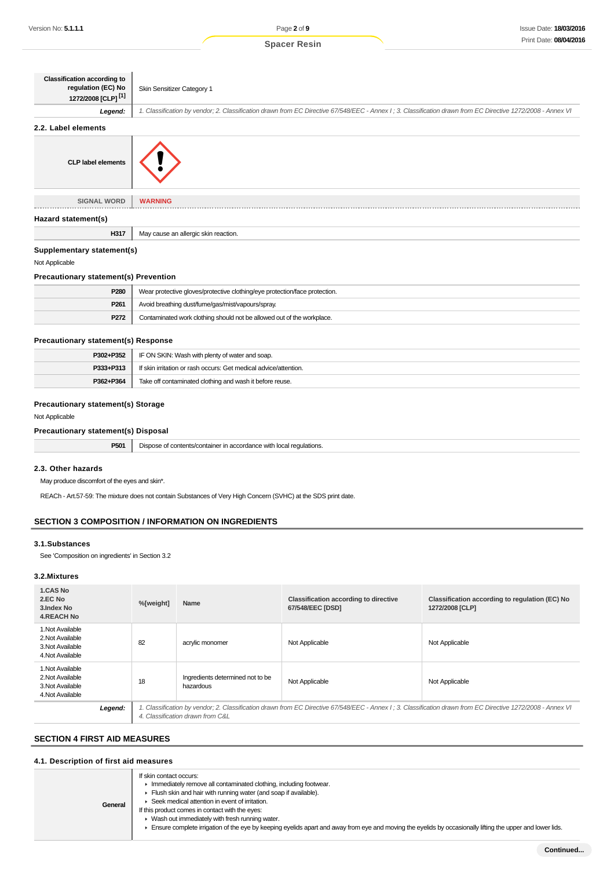| <b>Classification according to</b><br>regulation (EC) No<br>1272/2008 [CLP] <sup>[1]</sup> | Skin Sensitizer Category 1                                                                                                                                  |  |  |
|--------------------------------------------------------------------------------------------|-------------------------------------------------------------------------------------------------------------------------------------------------------------|--|--|
| Legend:                                                                                    | 1. Classification by vendor; 2. Classification drawn from EC Directive 67/548/EEC - Annex I; 3. Classification drawn from EC Directive 1272/2008 - Annex VI |  |  |
| 2.2. Label elements                                                                        |                                                                                                                                                             |  |  |
| <b>CLP label elements</b>                                                                  |                                                                                                                                                             |  |  |
| <b>SIGNAL WORD</b>                                                                         | <b>WARNING</b>                                                                                                                                              |  |  |
| Hazard statement(s)                                                                        |                                                                                                                                                             |  |  |
| H317                                                                                       | May cause an allergic skin reaction.                                                                                                                        |  |  |
|                                                                                            |                                                                                                                                                             |  |  |

## **Supplementary statement(s)**

Not Applicable

## **Precautionary statement(s) Prevention**

| P280 | Wear protective gloves/protective clothing/eye protection/face protection. |  |
|------|----------------------------------------------------------------------------|--|
| P261 | Avoid breathing dust/fume/gas/mist/vapours/spray.                          |  |
| P272 | Contaminated work clothing should not be allowed out of the workplace.     |  |

#### **Precautionary statement(s) Response**

| P302+P352 | IF ON SKIN: Wash with plenty of water and soap.                  |  |
|-----------|------------------------------------------------------------------|--|
| P333+P313 | If skin irritation or rash occurs: Get medical advice/attention. |  |
| P362+P364 | Take off contaminated clothing and wash it before reuse.         |  |

#### **Precautionary statement(s) Storage**

#### Not Applicable

#### **Precautionary statement(s) Disposal**

**P501** Dispose of contents/container in accordance with local regulations.

## **2.3. Other hazards**

May produce discomfort of the eyes and skin\*.

REACh - Art.57-59: The mixture does not contain Substances of Very High Concern (SVHC) at the SDS print date.

## **SECTION 3 COMPOSITION / INFORMATION ON INGREDIENTS**

#### **3.1.Substances**

See 'Composition on ingredients' in Section 3.2

#### **3.2.Mixtures**

| 1.CAS No<br>2.EC No<br>3. Index No<br><b>4.REACH No</b>                      | %[weight] | Name                                          | <b>Classification according to directive</b><br>67/548/EEC [DSD] | Classification according to regulation (EC) No<br>1272/2008 [CLP]                                                                                            |
|------------------------------------------------------------------------------|-----------|-----------------------------------------------|------------------------------------------------------------------|--------------------------------------------------------------------------------------------------------------------------------------------------------------|
| 1. Not Available<br>2. Not Available<br>3. Not Available<br>4. Not Available | 82        | acrylic monomer                               | Not Applicable                                                   | Not Applicable                                                                                                                                               |
| 1. Not Available<br>2. Not Available<br>3. Not Available<br>4. Not Available | 18        | Ingredients determined not to be<br>hazardous | Not Applicable                                                   | Not Applicable                                                                                                                                               |
| Legend:                                                                      |           | 4. Classification drawn from C&L              |                                                                  | 1. Classification by vendor; 2. Classification drawn from EC Directive 67/548/EEC - Annex I ; 3. Classification drawn from EC Directive 1272/2008 - Annex VI |

## **SECTION 4 FIRST AID MEASURES**

## **4.1. Description of first aid measures**

| General | If skin contact occurs:<br>Immediately remove all contaminated clothing, including footwear.<br>Flush skin and hair with running water (and soap if available).<br>▶ Seek medical attention in event of irritation.<br>If this product comes in contact with the eyes: |
|---------|------------------------------------------------------------------------------------------------------------------------------------------------------------------------------------------------------------------------------------------------------------------------|
|         | $\blacktriangleright$ Wash out immediately with fresh running water.<br>Ensure complete irrigation of the eye by keeping eyelids apart and away from eye and moving the eyelids by occasionally lifting the upper and lower lids.                                      |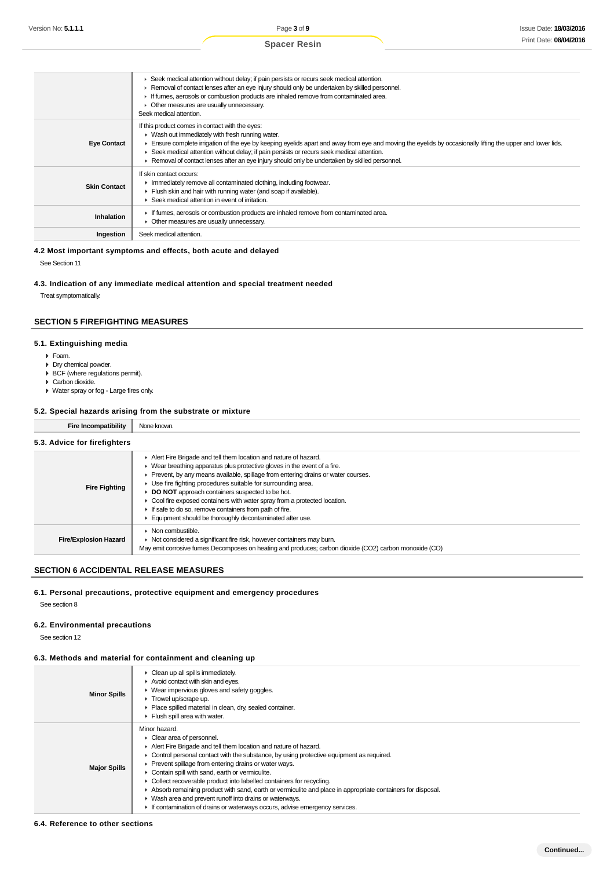|                     | $\blacktriangleright$ Seek medical attention without delay; if pain persists or recurs seek medical attention.<br>► Removal of contact lenses after an eye injury should only be undertaken by skilled personnel.<br>If fumes, aerosols or combustion products are inhaled remove from contaminated area.<br>Other measures are usually unnecessary.<br>Seek medical attention.                                                                                                     |
|---------------------|-------------------------------------------------------------------------------------------------------------------------------------------------------------------------------------------------------------------------------------------------------------------------------------------------------------------------------------------------------------------------------------------------------------------------------------------------------------------------------------|
| <b>Eye Contact</b>  | If this product comes in contact with the eyes:<br>$\blacktriangleright$ Wash out immediately with fresh running water.<br>Ensure complete irrigation of the eye by keeping eyelids apart and away from eye and moving the eyelids by occasionally lifting the upper and lower lids.<br>► Seek medical attention without delay; if pain persists or recurs seek medical attention.<br>Removal of contact lenses after an eye injury should only be undertaken by skilled personnel. |
| <b>Skin Contact</b> | If skin contact occurs:<br>In mediately remove all contaminated clothing, including footwear.<br>Flush skin and hair with running water (and soap if available).<br>▶ Seek medical attention in event of irritation.                                                                                                                                                                                                                                                                |
| Inhalation          | If fumes, aerosols or combustion products are inhaled remove from contaminated area.<br>Other measures are usually unnecessary.                                                                                                                                                                                                                                                                                                                                                     |
| Ingestion           | Seek medical attention.                                                                                                                                                                                                                                                                                                                                                                                                                                                             |

## **4.2 Most important symptoms and effects, both acute and delayed**

See Section 11

#### **4.3. Indication of any immediate medical attention and special treatment needed**

Treat symptomatically.

## **SECTION 5 FIREFIGHTING MEASURES**

#### **5.1. Extinguishing media**

- Foam.
- Dry chemical powder.
- BCF (where regulations permit).
- Carbon dioxide.
- Water spray or fog Large fires only.

### **5.2. Special hazards arising from the substrate or mixture**

| <b>Fire Incompatibility</b>  | None known.                                                                                                                                                                                                                                                                                                                                                                                                                                                                                                                                                |  |  |  |
|------------------------------|------------------------------------------------------------------------------------------------------------------------------------------------------------------------------------------------------------------------------------------------------------------------------------------------------------------------------------------------------------------------------------------------------------------------------------------------------------------------------------------------------------------------------------------------------------|--|--|--|
| 5.3. Advice for firefighters |                                                                                                                                                                                                                                                                                                                                                                                                                                                                                                                                                            |  |  |  |
| <b>Fire Fighting</b>         | Alert Fire Brigade and tell them location and nature of hazard.<br>▶ Wear breathing apparatus plus protective gloves in the event of a fire.<br>▶ Prevent, by any means available, spillage from entering drains or water courses.<br>• Use fire fighting procedures suitable for surrounding area.<br>DO NOT approach containers suspected to be hot.<br>• Cool fire exposed containers with water spray from a protected location.<br>If safe to do so, remove containers from path of fire.<br>Equipment should be thoroughly decontaminated after use. |  |  |  |
| <b>Fire/Explosion Hazard</b> | $\blacktriangleright$ Non combustible.<br>▶ Not considered a significant fire risk, however containers may burn.<br>May emit corrosive fumes. Decomposes on heating and produces; carbon dioxide (CO2) carbon monoxide (CO)                                                                                                                                                                                                                                                                                                                                |  |  |  |

## **SECTION 6 ACCIDENTAL RELEASE MEASURES**

## **6.1. Personal precautions, protective equipment and emergency procedures**

See section 8

#### **6.2. Environmental precautions**

See section 12

#### **6.3. Methods and material for containment and cleaning up**

| <b>Minor Spills</b> | Clean up all spills immediately.<br>$\blacktriangleright$ Avoid contact with skin and eyes.<br>▶ Wear impervious gloves and safety goggles.<br>$\blacktriangleright$ Trowel up/scrape up.<br>Place spilled material in clean, dry, sealed container.<br>Flush spill area with water.                                                                                                                                                                                                                                                                                                                                                             |
|---------------------|--------------------------------------------------------------------------------------------------------------------------------------------------------------------------------------------------------------------------------------------------------------------------------------------------------------------------------------------------------------------------------------------------------------------------------------------------------------------------------------------------------------------------------------------------------------------------------------------------------------------------------------------------|
| <b>Major Spills</b> | Minor hazard.<br>Clear area of personnel.<br>Alert Fire Brigade and tell them location and nature of hazard.<br>Control personal contact with the substance, by using protective equipment as required.<br>Prevent spillage from entering drains or water ways.<br>Contain spill with sand, earth or vermiculite.<br>Collect recoverable product into labelled containers for recycling.<br>Absorb remaining product with sand, earth or vermiculite and place in appropriate containers for disposal.<br>• Wash area and prevent runoff into drains or waterways.<br>If contamination of drains or waterways occurs, advise emergency services. |

#### **6.4. Reference to other sections**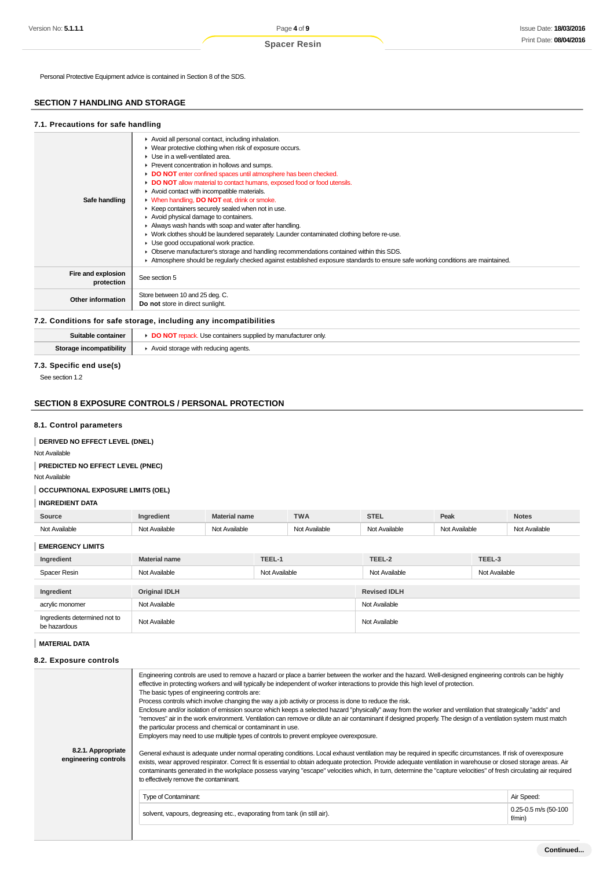Personal Protective Equipment advice is contained in Section 8 of the SDS.

## **SECTION 7 HANDLING AND STORAGE**

#### **7.1. Precautions for safe handling**

| Safe handling                    | Avoid all personal contact, including inhalation.<br>▶ Wear protective clothing when risk of exposure occurs.<br>$\blacktriangleright$ Use in a well-ventilated area.<br>▶ Prevent concentration in hollows and sumps.<br>DO NOT enter confined spaces until atmosphere has been checked.<br>• DO NOT allow material to contact humans, exposed food or food utensils.<br>Avoid contact with incompatible materials.<br>• When handling, DO NOT eat, drink or smoke.<br>▶ Keep containers securely sealed when not in use.<br>Avoid physical damage to containers.<br>Always wash hands with soap and water after handling.<br>• Work clothes should be laundered separately. Launder contaminated clothing before re-use.<br>• Use good occupational work practice. |
|----------------------------------|----------------------------------------------------------------------------------------------------------------------------------------------------------------------------------------------------------------------------------------------------------------------------------------------------------------------------------------------------------------------------------------------------------------------------------------------------------------------------------------------------------------------------------------------------------------------------------------------------------------------------------------------------------------------------------------------------------------------------------------------------------------------|
|                                  | • Observe manufacturer's storage and handling recommendations contained within this SDS.<br>Atmosphere should be regularly checked against established exposure standards to ensure safe working conditions are maintained.                                                                                                                                                                                                                                                                                                                                                                                                                                                                                                                                          |
| Fire and explosion<br>protection | See section 5                                                                                                                                                                                                                                                                                                                                                                                                                                                                                                                                                                                                                                                                                                                                                        |
| <b>Other information</b>         | Store between 10 and 25 deg. C.<br>Do not store in direct sunlight.                                                                                                                                                                                                                                                                                                                                                                                                                                                                                                                                                                                                                                                                                                  |
|                                  |                                                                                                                                                                                                                                                                                                                                                                                                                                                                                                                                                                                                                                                                                                                                                                      |

## **7.2. Conditions for safe storage, including any incompatibilities**

| Suitable container      | <b>DO NOT</b> repack. Use containers supplied by manufacturer only |
|-------------------------|--------------------------------------------------------------------|
| Storage incompatibility | Avoid storage with reducing agents.                                |
| $\cdot$<br>---          |                                                                    |

## **7.3. Specific end use(s)**

See section 1.2

## **SECTION 8 EXPOSURE CONTROLS / PERSONAL PROTECTION**

#### **8.1. Control parameters**

**DERIVED NO EFFECT LEVEL (DNEL)**

#### Not Available

**PREDICTED NO EFFECT LEVEL (PNEC)**

#### Not Available

**OCCUPATIONAL EXPOSURE LIMITS (OEL)**

## **INGREDIENT DATA**

| Source                                        | Ingredient           | <b>Material name</b> |               | <b>TWA</b>    | <b>STEL</b>         | Peak          |               | <b>Notes</b>  |
|-----------------------------------------------|----------------------|----------------------|---------------|---------------|---------------------|---------------|---------------|---------------|
| Not Available                                 | Not Available        | Not Available        |               | Not Available | Not Available       | Not Available |               | Not Available |
| <b>EMERGENCY LIMITS</b>                       |                      |                      |               |               |                     |               |               |               |
| Ingredient                                    | <b>Material name</b> |                      | TEEL-1        |               | TEEL-2              |               | TEEL-3        |               |
| Spacer Resin                                  | Not Available        |                      | Not Available |               | Not Available       |               | Not Available |               |
|                                               |                      |                      |               |               |                     |               |               |               |
| Ingredient                                    | <b>Original IDLH</b> |                      |               |               | <b>Revised IDLH</b> |               |               |               |
| acrylic monomer                               | Not Available        |                      |               |               | Not Available       |               |               |               |
| Ingredients determined not to<br>be hazardous | Not Available        |                      |               |               | Not Available       |               |               |               |

#### **MATERIAL DATA**

#### **8.2. Exposure controls**

| 8.2.1. Appropriate<br>engineering controls | effective in protecting workers and will typically be independent of worker interactions to provide this high level of protection.<br>The basic types of engineering controls are:<br>Process controls which involve changing the way a job activity or process is done to reduce the risk.<br>Enclosure and/or isolation of emission source which keeps a selected hazard "physically" away from the worker and ventilation that strategically "adds" and<br>"removes" air in the work environment. Ventilation can remove or dilute an air contaminant if designed properly. The design of a ventilation system must match<br>the particular process and chemical or contaminant in use.<br>Employers may need to use multiple types of controls to prevent employee overexposure.<br>General exhaust is adequate under normal operating conditions. Local exhaust ventilation may be required in specific circumstances. If risk of overexposure<br>exists, wear approved respirator. Correct fit is essential to obtain adequate protection. Provide adequate ventilation in warehouse or closed storage areas. Air<br>contaminants generated in the workplace possess varying "escape" velocities which, in turn, determine the "capture velocities" of fresh circulating air required |            |  |
|--------------------------------------------|---------------------------------------------------------------------------------------------------------------------------------------------------------------------------------------------------------------------------------------------------------------------------------------------------------------------------------------------------------------------------------------------------------------------------------------------------------------------------------------------------------------------------------------------------------------------------------------------------------------------------------------------------------------------------------------------------------------------------------------------------------------------------------------------------------------------------------------------------------------------------------------------------------------------------------------------------------------------------------------------------------------------------------------------------------------------------------------------------------------------------------------------------------------------------------------------------------------------------------------------------------------------------------------------|------------|--|
|                                            | to effectively remove the contaminant.                                                                                                                                                                                                                                                                                                                                                                                                                                                                                                                                                                                                                                                                                                                                                                                                                                                                                                                                                                                                                                                                                                                                                                                                                                                      |            |  |
|                                            | Type of Contaminant:                                                                                                                                                                                                                                                                                                                                                                                                                                                                                                                                                                                                                                                                                                                                                                                                                                                                                                                                                                                                                                                                                                                                                                                                                                                                        | Air Speed: |  |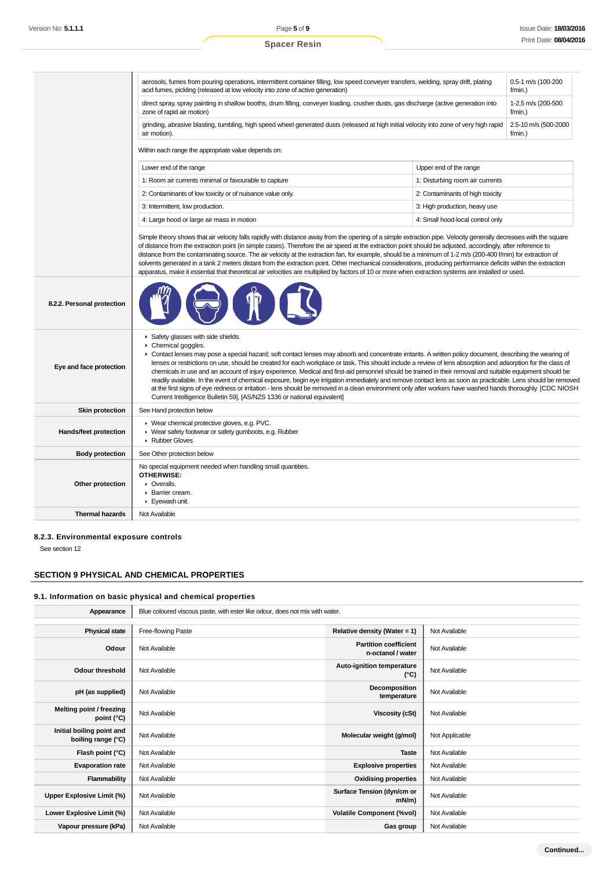|                                                                                                                                                                                               | aerosols, fumes from pouring operations, intermittent container filling, low speed conveyer transfers, welding, spray drift, plating<br>0.5-1 m/s (100-200<br>acid fumes, pickling (released at low velocity into zone of active generation)<br>$f/min.$ )                                                                                                                                                                                                                                                                                                                                                                                                                                                                                                                                                                                                                                                                                                                                                                                                                                                                                                                                                                                                                                                                                                                       |                                  |  |  |  |  |
|-----------------------------------------------------------------------------------------------------------------------------------------------------------------------------------------------|----------------------------------------------------------------------------------------------------------------------------------------------------------------------------------------------------------------------------------------------------------------------------------------------------------------------------------------------------------------------------------------------------------------------------------------------------------------------------------------------------------------------------------------------------------------------------------------------------------------------------------------------------------------------------------------------------------------------------------------------------------------------------------------------------------------------------------------------------------------------------------------------------------------------------------------------------------------------------------------------------------------------------------------------------------------------------------------------------------------------------------------------------------------------------------------------------------------------------------------------------------------------------------------------------------------------------------------------------------------------------------|----------------------------------|--|--|--|--|
|                                                                                                                                                                                               | direct spray, spray painting in shallow booths, drum filling, conveyer loading, crusher dusts, gas discharge (active generation into<br>zone of rapid air motion)                                                                                                                                                                                                                                                                                                                                                                                                                                                                                                                                                                                                                                                                                                                                                                                                                                                                                                                                                                                                                                                                                                                                                                                                                | 1-2.5 m/s (200-500<br>$f/min.$ ) |  |  |  |  |
| 2.5-10 m/s (500-2000<br>grinding, abrasive blasting, tumbling, high speed wheel generated dusts (released at high initial velocity into zone of very high rapid<br>air motion).<br>$f/min.$ ) |                                                                                                                                                                                                                                                                                                                                                                                                                                                                                                                                                                                                                                                                                                                                                                                                                                                                                                                                                                                                                                                                                                                                                                                                                                                                                                                                                                                  |                                  |  |  |  |  |
|                                                                                                                                                                                               | Within each range the appropriate value depends on:<br>Lower end of the range<br>Upper end of the range                                                                                                                                                                                                                                                                                                                                                                                                                                                                                                                                                                                                                                                                                                                                                                                                                                                                                                                                                                                                                                                                                                                                                                                                                                                                          |                                  |  |  |  |  |
|                                                                                                                                                                                               |                                                                                                                                                                                                                                                                                                                                                                                                                                                                                                                                                                                                                                                                                                                                                                                                                                                                                                                                                                                                                                                                                                                                                                                                                                                                                                                                                                                  |                                  |  |  |  |  |
|                                                                                                                                                                                               | 1: Room air currents minimal or favourable to capture                                                                                                                                                                                                                                                                                                                                                                                                                                                                                                                                                                                                                                                                                                                                                                                                                                                                                                                                                                                                                                                                                                                                                                                                                                                                                                                            | 1: Disturbing room air currents  |  |  |  |  |
|                                                                                                                                                                                               | 2: Contaminants of low toxicity or of nuisance value only.                                                                                                                                                                                                                                                                                                                                                                                                                                                                                                                                                                                                                                                                                                                                                                                                                                                                                                                                                                                                                                                                                                                                                                                                                                                                                                                       | 2: Contaminants of high toxicity |  |  |  |  |
|                                                                                                                                                                                               | 3: Intermittent, low production.                                                                                                                                                                                                                                                                                                                                                                                                                                                                                                                                                                                                                                                                                                                                                                                                                                                                                                                                                                                                                                                                                                                                                                                                                                                                                                                                                 | 3: High production, heavy use    |  |  |  |  |
|                                                                                                                                                                                               | 4: Large hood or large air mass in motion                                                                                                                                                                                                                                                                                                                                                                                                                                                                                                                                                                                                                                                                                                                                                                                                                                                                                                                                                                                                                                                                                                                                                                                                                                                                                                                                        | 4: Small hood-local control only |  |  |  |  |
| 8.2.2. Personal protection<br>Eye and face protection                                                                                                                                         | Simple theory shows that air velocity falls rapidly with distance away from the opening of a simple extraction pipe. Velocity generally decreases with the square<br>of distance from the extraction point (in simple cases). Therefore the air speed at the extraction point should be adjusted, accordingly, after reference to<br>distance from the contaminating source. The air velocity at the extraction fan, for example, should be a minimum of 1-2 m/s (200-400 f/min) for extraction of<br>solvents generated in a tank 2 meters distant from the extraction point. Other mechanical considerations, producing performance deficits within the extraction<br>apparatus, make it essential that theoretical air velocities are multiplied by factors of 10 or more when extraction systems are installed or used.<br>Safety glasses with side shields.<br>Chemical goggles.<br>► Contact lenses may pose a special hazard; soft contact lenses may absorb and concentrate irritants. A written policy document, describing the wearing of<br>lenses or restrictions on use, should be created for each workplace or task. This should include a review of lens absorption and adsorption for the class of<br>chemicals in use and an account of injury experience. Medical and first-aid personnel should be trained in their removal and suitable equipment should be |                                  |  |  |  |  |
|                                                                                                                                                                                               | at the first signs of eye redness or irritation - lens should be removed in a clean environment only after workers have washed hands thoroughly. [CDC NIOSH<br>Current Intelligence Bulletin 59], [AS/NZS 1336 or national equivalent]                                                                                                                                                                                                                                                                                                                                                                                                                                                                                                                                                                                                                                                                                                                                                                                                                                                                                                                                                                                                                                                                                                                                           |                                  |  |  |  |  |
| <b>Skin protection</b>                                                                                                                                                                        | See Hand protection below                                                                                                                                                                                                                                                                                                                                                                                                                                                                                                                                                                                                                                                                                                                                                                                                                                                                                                                                                                                                                                                                                                                                                                                                                                                                                                                                                        |                                  |  |  |  |  |
| Hands/feet protection                                                                                                                                                                         | ▶ Wear chemical protective gloves, e.g. PVC.<br>▶ Wear safety footwear or safety gumboots, e.g. Rubber<br>Rubber Gloves                                                                                                                                                                                                                                                                                                                                                                                                                                                                                                                                                                                                                                                                                                                                                                                                                                                                                                                                                                                                                                                                                                                                                                                                                                                          |                                  |  |  |  |  |
| <b>Body protection</b>                                                                                                                                                                        | See Other protection below                                                                                                                                                                                                                                                                                                                                                                                                                                                                                                                                                                                                                                                                                                                                                                                                                                                                                                                                                                                                                                                                                                                                                                                                                                                                                                                                                       |                                  |  |  |  |  |
| Other protection                                                                                                                                                                              | No special equipment needed when handling small quantities.<br><b>OTHERWISE:</b><br>• Overalls.<br>▶ Barrier cream.<br>Eyewash unit.                                                                                                                                                                                                                                                                                                                                                                                                                                                                                                                                                                                                                                                                                                                                                                                                                                                                                                                                                                                                                                                                                                                                                                                                                                             |                                  |  |  |  |  |
| <b>Thermal hazards</b>                                                                                                                                                                        | Not Available                                                                                                                                                                                                                                                                                                                                                                                                                                                                                                                                                                                                                                                                                                                                                                                                                                                                                                                                                                                                                                                                                                                                                                                                                                                                                                                                                                    |                                  |  |  |  |  |

## **8.2.3. Environmental exposure controls**

See section 12

## **SECTION 9 PHYSICAL AND CHEMICAL PROPERTIES**

## **9.1. Information on basic physical and chemical properties**

| Appearance                                      | Blue coloured viscous paste, with ester like odour, does not mix with water. |                                                   |                |
|-------------------------------------------------|------------------------------------------------------------------------------|---------------------------------------------------|----------------|
|                                                 |                                                                              |                                                   |                |
| <b>Physical state</b>                           | Free-flowing Paste                                                           | Relative density (Water = 1)                      | Not Available  |
| Odour                                           | Not Available                                                                | <b>Partition coefficient</b><br>n-octanol / water | Not Available  |
| Odour threshold                                 | Not Available                                                                | Auto-ignition temperature<br>$(^{\circ}C)$        | Not Available  |
| pH (as supplied)                                | Not Available                                                                | Decomposition<br>temperature                      | Not Available  |
| Melting point / freezing<br>point (°C)          | Not Available                                                                | <b>Viscosity (cSt)</b>                            | Not Available  |
| Initial boiling point and<br>boiling range (°C) | Not Available                                                                | Molecular weight (g/mol)                          | Not Applicable |
| Flash point (°C)                                | Not Available                                                                | <b>Taste</b>                                      | Not Available  |
| <b>Evaporation rate</b>                         | Not Available                                                                | <b>Explosive properties</b>                       | Not Available  |
| Flammability                                    | Not Available                                                                | <b>Oxidising properties</b>                       | Not Available  |
| Upper Explosive Limit (%)                       | Not Available                                                                | Surface Tension (dyn/cm or<br>$mN/m$ )            | Not Available  |
| Lower Explosive Limit (%)                       | Not Available                                                                | <b>Volatile Component (%vol)</b>                  | Not Available  |
| Vapour pressure (kPa)                           | Not Available                                                                | Gas group                                         | Not Available  |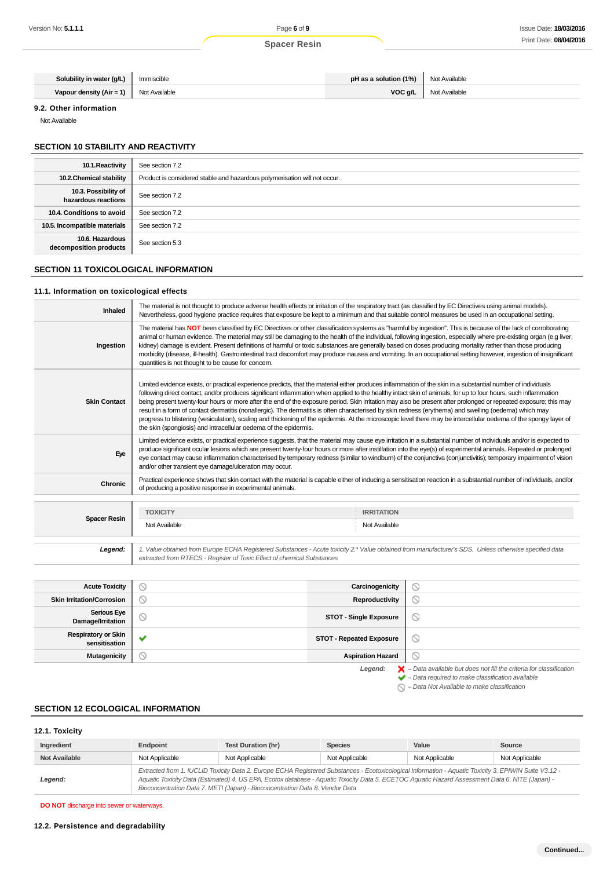| Solubility in water (g/L)    | Immiscible    | pH as a solution (1%) | Not Available |
|------------------------------|---------------|-----------------------|---------------|
| Vapour density ( $Air = 1$ ) | Not Available | VOC a/L               | Not Available |

## **9.2. Other information**

Not Available

## **SECTION 10 STABILITY AND REACTIVITY**

| 10.1. Reactivity                            | See section 7.2                                                           |
|---------------------------------------------|---------------------------------------------------------------------------|
| 10.2. Chemical stability                    | Product is considered stable and hazardous polymerisation will not occur. |
| 10.3. Possibility of<br>hazardous reactions | See section 7.2                                                           |
| 10.4. Conditions to avoid                   | See section 7.2                                                           |
| 10.5. Incompatible materials                | See section 7.2                                                           |
| 10.6. Hazardous<br>decomposition products   | See section 5.3                                                           |

## **SECTION 11 TOXICOLOGICAL INFORMATION**

#### **11.1. Information on toxicological effects**

| Inhaled                                     | The material is not thought to produce adverse health effects or irritation of the respiratory tract (as classified by EC Directives using animal models).<br>Nevertheless, good hygiene practice requires that exposure be kept to a minimum and that suitable control measures be used in an occupational setting.                                                                                                                                                                                                                                                                                                                                                                                                                                                                                                                                                                                  |                                 |                |  |
|---------------------------------------------|-------------------------------------------------------------------------------------------------------------------------------------------------------------------------------------------------------------------------------------------------------------------------------------------------------------------------------------------------------------------------------------------------------------------------------------------------------------------------------------------------------------------------------------------------------------------------------------------------------------------------------------------------------------------------------------------------------------------------------------------------------------------------------------------------------------------------------------------------------------------------------------------------------|---------------------------------|----------------|--|
| Ingestion                                   | The material has NOT been classified by EC Directives or other classification systems as "harmful by ingestion". This is because of the lack of corroborating<br>animal or human evidence. The material may still be damaging to the health of the individual, following ingestion, especially where pre-existing organ (e.g liver,<br>kidney) damage is evident. Present definitions of harmful or toxic substances are generally based on doses producing mortality rather than those producing<br>morbidity (disease, ill-health). Gastrointestinal tract discomfort may produce nausea and vomiting. In an occupational setting however, ingestion of insignificant<br>quantities is not thought to be cause for concern.                                                                                                                                                                         |                                 |                |  |
| <b>Skin Contact</b>                         | Limited evidence exists, or practical experience predicts, that the material either produces inflammation of the skin in a substantial number of individuals<br>following direct contact, and/or produces significant inflammation when applied to the healthy intact skin of animals, for up to four hours, such inflammation<br>being present twenty-four hours or more after the end of the exposure period. Skin irritation may also be present after prolonged or repeated exposure; this may<br>result in a form of contact dermatitis (nonallergic). The dermatitis is often characterised by skin redness (erythema) and swelling (oedema) which may<br>progress to blistering (vesiculation), scaling and thickening of the epidermis. At the microscopic level there may be intercellular oedema of the spongy layer of<br>the skin (spongiosis) and intracellular oedema of the epidermis. |                                 |                |  |
| Eye                                         | Limited evidence exists, or practical experience suggests, that the material may cause eye irritation in a substantial number of individuals and/or is expected to<br>produce significant ocular lesions which are present twenty-four hours or more after instillation into the eye(s) of experimental animals. Repeated or prolonged<br>eye contact may cause inflammation characterised by temporary redness (similar to windburn) of the conjunctiva (conjunctivitis); temporary impairment of vision<br>and/or other transient eye damage/ulceration may occur.                                                                                                                                                                                                                                                                                                                                  |                                 |                |  |
| Chronic                                     | Practical experience shows that skin contact with the material is capable either of inducing a sensitisation reaction in a substantial number of individuals, and/or<br>of producing a positive response in experimental animals.                                                                                                                                                                                                                                                                                                                                                                                                                                                                                                                                                                                                                                                                     |                                 |                |  |
| <b>Spacer Resin</b>                         | <b>IRRITATION</b><br><b>TOXICITY</b><br>Not Available<br>Not Available                                                                                                                                                                                                                                                                                                                                                                                                                                                                                                                                                                                                                                                                                                                                                                                                                                |                                 |                |  |
| Legend:                                     | 1. Value obtained from Europe ECHA Registered Substances - Acute toxicity 2.* Value obtained from manufacturer's SDS. Unless otherwise specified data<br>extracted from RTECS - Register of Toxic Effect of chemical Substances                                                                                                                                                                                                                                                                                                                                                                                                                                                                                                                                                                                                                                                                       |                                 |                |  |
|                                             |                                                                                                                                                                                                                                                                                                                                                                                                                                                                                                                                                                                                                                                                                                                                                                                                                                                                                                       |                                 |                |  |
| <b>Acute Toxicity</b>                       | $\circledcirc$                                                                                                                                                                                                                                                                                                                                                                                                                                                                                                                                                                                                                                                                                                                                                                                                                                                                                        | Carcinogenicity                 | $\circledcirc$ |  |
| <b>Skin Irritation/Corrosion</b>            | O                                                                                                                                                                                                                                                                                                                                                                                                                                                                                                                                                                                                                                                                                                                                                                                                                                                                                                     | Reproductivity                  | $\circledcirc$ |  |
| <b>Serious Eye</b><br>Damage/Irritation     | $\circledcirc$                                                                                                                                                                                                                                                                                                                                                                                                                                                                                                                                                                                                                                                                                                                                                                                                                                                                                        | <b>STOT - Single Exposure</b>   | ∾              |  |
| <b>Respiratory or Skin</b><br>sensitisation | ✔                                                                                                                                                                                                                                                                                                                                                                                                                                                                                                                                                                                                                                                                                                                                                                                                                                                                                                     | <b>STOT - Repeated Exposure</b> | $\circ$        |  |

Legend:  $\blacktriangleright$  - Data available but does not fill the criteria for classification<br>  $\blacktriangleright$  - Data required to make classification available

 $\circlearrowright$ 

 $\bigcirc$  – Data Not Available to make classification

## **SECTION 12 ECOLOGICAL INFORMATION**

## **12.1. Toxicity**

| Ingredient           | Endpoint       | Test Duration (hr)                                                                                                                                                                                                                                                                                                                                                                       | <b>Species</b> | Value          | Source         |
|----------------------|----------------|------------------------------------------------------------------------------------------------------------------------------------------------------------------------------------------------------------------------------------------------------------------------------------------------------------------------------------------------------------------------------------------|----------------|----------------|----------------|
| <b>Not Available</b> | Not Applicable | Not Applicable                                                                                                                                                                                                                                                                                                                                                                           | Not Applicable | Not Applicable | Not Applicable |
| Legend:              |                | Extracted from 1. IUCLID Toxicity Data 2. Europe ECHA Registered Substances - Ecotoxicological Information - Aquatic Toxicity 3. EPIWIN Suite V3.12 -<br>Aquatic Toxicity Data (Estimated) 4. US EPA, Ecotox database - Aquatic Toxicity Data 5. ECETOC Aquatic Hazard Assessment Data 6. NITE (Japan) -<br>Bioconcentration Data 7. METI (Japan) - Bioconcentration Data 8. Vendor Data |                |                |                |

**Mutagenicity Aspiration Hazard** 

**DO NOT** discharge into sewer or waterways.

## **12.2. Persistence and degradability**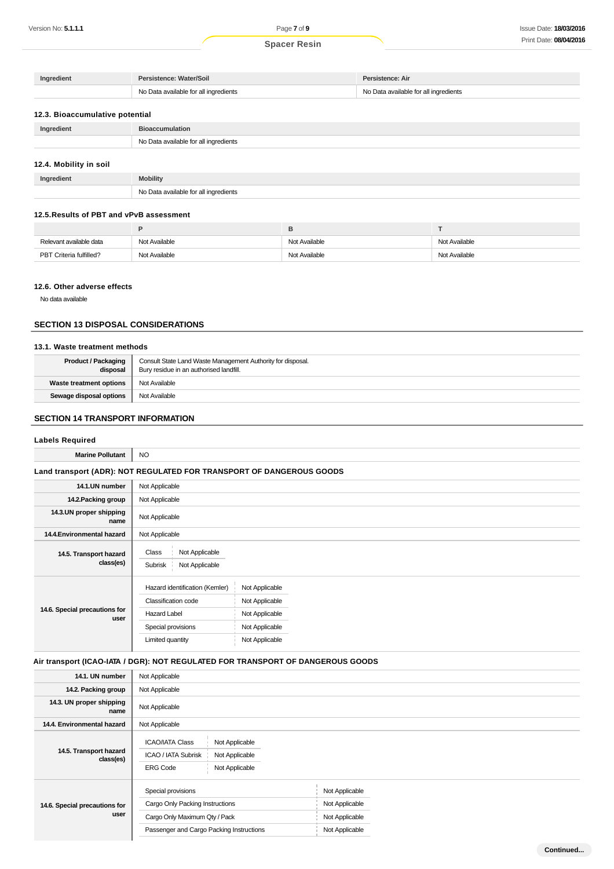| Ingredient | Persistence: Water/Soil               | Persistence: Air                      |
|------------|---------------------------------------|---------------------------------------|
|            | No Data available for all ingredients | No Data available for all ingredients |
|            |                                       |                                       |

## **12.3. Bioaccumulative potential**

| Ingredient | <b>Bioaccumulation</b>                |
|------------|---------------------------------------|
|            | No Data available for all ingredients |
|            |                                       |

## **12.4. Mobility in soil**

| Ingredient | <b>Mobility</b>                       |
|------------|---------------------------------------|
|            | No Data available for all ingredients |

#### **12.5.Results of PBT and vPvB assessment**

|                         | . .           |               |               |
|-------------------------|---------------|---------------|---------------|
| Relevant available data | Not Available | Not Available | Not Available |
| PBT Criteria fulfilled? | Not Available | Not Available | Not Available |

#### **12.6. Other adverse effects**

No data available

## **SECTION 13 DISPOSAL CONSIDERATIONS**

### **13.1. Waste treatment methods**

| <b>Product / Packaging</b><br>disposal | Consult State Land Waste Management Authority for disposal.<br>Bury residue in an authorised landfill. |
|----------------------------------------|--------------------------------------------------------------------------------------------------------|
| Waste treatment options                | Not Available                                                                                          |
| Sewage disposal options                | Not Available                                                                                          |

## **SECTION 14 TRANSPORT INFORMATION**

#### **Labels Required**

| <b>Marine Pollutant</b>                                              | <b>NO</b>                                                                                                              |                                                                                        |  |  |
|----------------------------------------------------------------------|------------------------------------------------------------------------------------------------------------------------|----------------------------------------------------------------------------------------|--|--|
| Land transport (ADR): NOT REGULATED FOR TRANSPORT OF DANGEROUS GOODS |                                                                                                                        |                                                                                        |  |  |
| 14.1.UN number                                                       | Not Applicable                                                                                                         |                                                                                        |  |  |
| 14.2. Packing group                                                  | Not Applicable                                                                                                         |                                                                                        |  |  |
| 14.3.UN proper shipping<br>name                                      | Not Applicable                                                                                                         |                                                                                        |  |  |
| 14.4. Environmental hazard                                           | Not Applicable                                                                                                         |                                                                                        |  |  |
| 14.5. Transport hazard<br>class(es)                                  | Not Applicable<br>Class<br>Not Applicable<br>Subrisk                                                                   |                                                                                        |  |  |
| 14.6. Special precautions for<br>user                                | Hazard identification (Kemler)<br>Classification code<br><b>Hazard Label</b><br>Special provisions<br>Limited quantity | Not Applicable<br>Not Applicable<br>Not Applicable<br>Not Applicable<br>Not Applicable |  |  |

## **Air transport (ICAO-IATA / DGR): NOT REGULATED FOR TRANSPORT OF DANGEROUS GOODS**

| 14.1. UN number                       | Not Applicable                           |                |                |  |
|---------------------------------------|------------------------------------------|----------------|----------------|--|
| 14.2. Packing group                   | Not Applicable                           |                |                |  |
| 14.3. UN proper shipping<br>name      | Not Applicable                           |                |                |  |
| 14.4. Environmental hazard            | Not Applicable                           |                |                |  |
|                                       | <b>ICAO/IATA Class</b>                   | Not Applicable |                |  |
| 14.5. Transport hazard<br>class(es)   | ICAO / IATA Subrisk<br>Not Applicable    |                |                |  |
|                                       | <b>ERG Code</b>                          | Not Applicable |                |  |
| 14.6. Special precautions for<br>user | Special provisions                       |                | Not Applicable |  |
|                                       | Cargo Only Packing Instructions          |                | Not Applicable |  |
|                                       | Cargo Only Maximum Qty / Pack            |                | Not Applicable |  |
|                                       | Passenger and Cargo Packing Instructions |                | Not Applicable |  |
|                                       |                                          |                |                |  |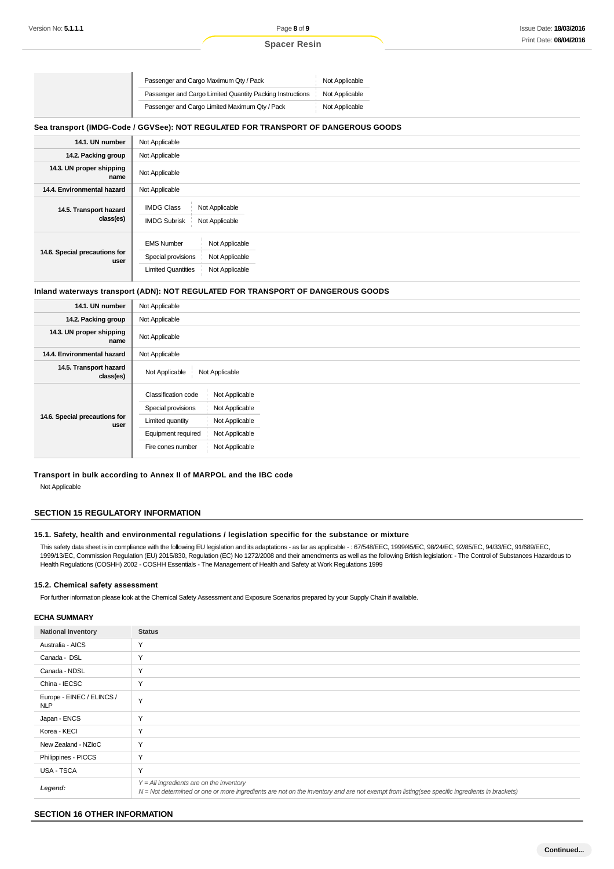| Passenger and Cargo Maximum Qty / Pack                    | Not Applicable |
|-----------------------------------------------------------|----------------|
| Passenger and Cargo Limited Quantity Packing Instructions | Not Applicable |
| Passenger and Cargo Limited Maximum Qty / Pack            | Not Applicable |

#### **Sea transport (IMDG-Code / GGVSee): NOT REGULATED FOR TRANSPORT OF DANGEROUS GOODS**

| 14.1. UN number                       | Not Applicable                                                                                                             |  |  |
|---------------------------------------|----------------------------------------------------------------------------------------------------------------------------|--|--|
| 14.2. Packing group                   | Not Applicable                                                                                                             |  |  |
| 14.3. UN proper shipping<br>name      | Not Applicable                                                                                                             |  |  |
| 14.4. Environmental hazard            | Not Applicable                                                                                                             |  |  |
| 14.5. Transport hazard<br>class(es)   | <b>IMDG Class</b><br>Not Applicable<br><b>IMDG Subrisk</b><br>Not Applicable                                               |  |  |
| 14.6. Special precautions for<br>user | Not Applicable<br><b>EMS Number</b><br>Special provisions<br>Not Applicable<br>Not Applicable<br><b>Limited Quantities</b> |  |  |

## **Inland waterways transport (ADN): NOT REGULATED FOR TRANSPORT OF DANGEROUS GOODS**

| 14.1. UN number                       | Not Applicable                                                                                                                                                                                     |  |
|---------------------------------------|----------------------------------------------------------------------------------------------------------------------------------------------------------------------------------------------------|--|
| 14.2. Packing group                   | Not Applicable                                                                                                                                                                                     |  |
| 14.3. UN proper shipping<br>name      | Not Applicable                                                                                                                                                                                     |  |
| 14.4. Environmental hazard            | Not Applicable                                                                                                                                                                                     |  |
| 14.5. Transport hazard<br>class(es)   | Not Applicable<br>Not Applicable                                                                                                                                                                   |  |
| 14.6. Special precautions for<br>user | Classification code<br>Not Applicable<br>Special provisions<br>Not Applicable<br>Not Applicable<br>Limited quantity<br>Not Applicable<br>Equipment required<br>Not Applicable<br>Fire cones number |  |

### **Transport in bulk according to Annex II of MARPOL and the IBC code**

Not Applicable

### **SECTION 15 REGULATORY INFORMATION**

#### **15.1. Safety, health and environmental regulations / legislation specific for the substance or mixture**

This safety data sheet is in compliance with the following EU legislation and its adaptations - as far as applicable - : 67/548/EEC, 1999/45/EC, 98/24/EC, 92/85/EC, 94/33/EC, 91/689/EEC, 1999/13/EC, Commission Regulation (EU) 2015/830, Regulation (EC) No 1272/2008 and their amendments as well as the following British legislation: - The Control of Substances Hazardous to Health Regulations (COSHH) 2002 - COSHH Essentials - The Management of Health and Safety at Work Regulations 1999

#### **15.2. Chemical safety assessment**

For further information please look at the Chemical Safety Assessment and Exposure Scenarios prepared by your Supply Chain if available.

#### **ECHA SUMMARY**

| <b>National Inventory</b>               | <b>Status</b>                                                                                                                                                                              |
|-----------------------------------------|--------------------------------------------------------------------------------------------------------------------------------------------------------------------------------------------|
| Australia - AICS                        | $\checkmark$                                                                                                                                                                               |
| Canada - DSL                            | Y                                                                                                                                                                                          |
| Canada - NDSL                           | $\checkmark$                                                                                                                                                                               |
| China - IECSC                           | $\checkmark$                                                                                                                                                                               |
| Europe - EINEC / ELINCS /<br><b>NLP</b> | Y                                                                                                                                                                                          |
| Japan - ENCS                            | Y                                                                                                                                                                                          |
| Korea - KECI                            | Y                                                                                                                                                                                          |
| New Zealand - NZIoC                     | Y                                                                                                                                                                                          |
| Philippines - PICCS                     | $\checkmark$                                                                                                                                                                               |
| USA - TSCA                              | Y                                                                                                                                                                                          |
| Legend:                                 | $Y = All$ ingredients are on the inventory<br>N = Not determined or one or more ingredients are not on the inventory and are not exempt from listing(see specific ingredients in brackets) |

#### **SECTION 16 OTHER INFORMATION**